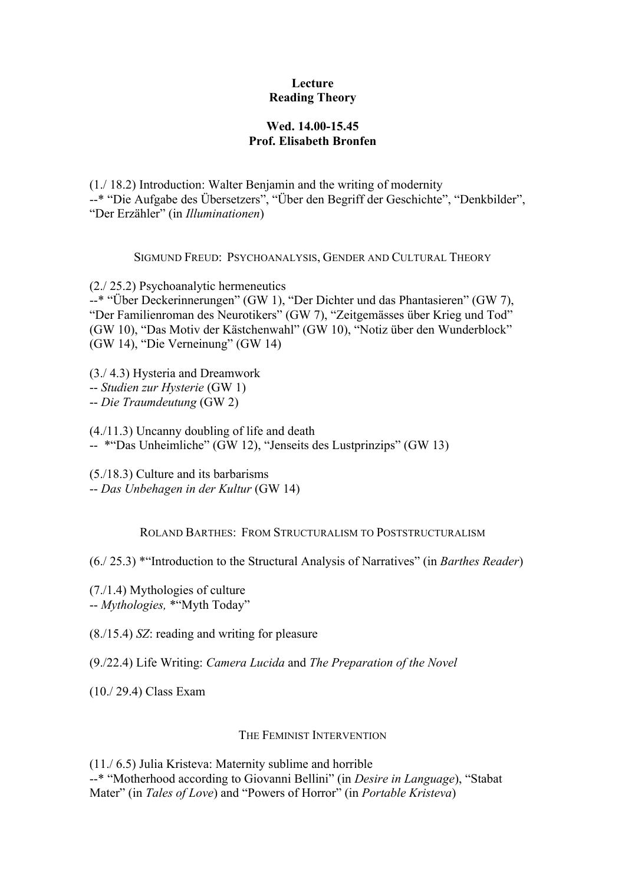## **Lecture Reading Theory**

## **Wed. 14.00-15.45 Prof. Elisabeth Bronfen**

(1./ 18.2) Introduction: Walter Benjamin and the writing of modernity --\* "Die Aufgabe des Übersetzers", "Über den Begriff der Geschichte", "Denkbilder", "Der Erzähler" (in *Illuminationen*)

SIGMUND FREUD: PSYCHOANALYSIS, GENDER AND CULTURAL THEORY

(2./ 25.2) Psychoanalytic hermeneutics

--\* "Über Deckerinnerungen" (GW 1), "Der Dichter und das Phantasieren" (GW 7), "Der Familienroman des Neurotikers" (GW 7), "Zeitgemässes über Krieg und Tod" (GW 10), "Das Motiv der Kästchenwahl" (GW 10), "Notiz über den Wunderblock" (GW 14), "Die Verneinung" (GW 14)

(3./ 4.3) Hysteria and Dreamwork

-- *Studien zur Hysterie* (GW 1)

-- *Die Traumdeutung* (GW 2)

(4./11.3) Uncanny doubling of life and death

-- \*"Das Unheimliche" (GW 12), "Jenseits des Lustprinzips" (GW 13)

(5./18.3) Culture and its barbarisms -- *Das Unbehagen in der Kultur* (GW 14)

ROLAND BARTHES: FROM STRUCTURALISM TO POSTSTRUCTURALISM

(6./ 25.3) \*"Introduction to the Structural Analysis of Narratives" (in *Barthes Reader*)

(7./1.4) Mythologies of culture -- *Mythologies,* \*"Myth Today"

(8./15.4) *SZ*: reading and writing for pleasure

(9./22.4) Life Writing: *Camera Lucida* and *The Preparation of the Novel*

(10./ 29.4) Class Exam

## THE FEMINIST INTERVENTION

(11./ 6.5) Julia Kristeva: Maternity sublime and horrible --\* "Motherhood according to Giovanni Bellini" (in *Desire in Language*), "Stabat Mater" (in *Tales of Love*) and "Powers of Horror" (in *Portable Kristeva*)